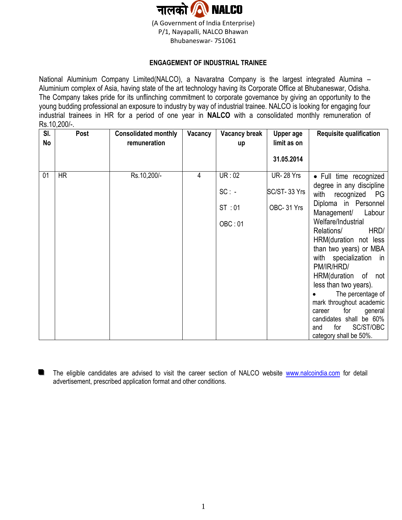

## **ENGAGEMENT OF INDUSTRIAL TRAINEE**

National Aluminium Company Limited(NALCO), a Navaratna Company is the largest integrated Alumina – Aluminium complex of Asia, having state of the art technology having its Corporate Office at Bhubaneswar, Odisha. The Company takes pride for its unflinching commitment to corporate governance by giving an opportunity to the young budding professional an exposure to industry by way of industrial trainee. NALCO is looking for engaging four industrial trainees in HR for a period of one year in **NALCO** with a consolidated monthly remuneration of Rs. 10, 200/-

| SI.       | Post      | <b>Consolidated monthly</b> | Vacancy | <b>Vacancy break</b> | Upper age        | <b>Requisite qualification</b>                       |
|-----------|-----------|-----------------------------|---------|----------------------|------------------|------------------------------------------------------|
| <b>No</b> |           | remuneration                |         | up                   | limit as on      |                                                      |
|           |           |                             |         |                      | 31.05.2014       |                                                      |
| 01        | <b>HR</b> | Rs.10,200/-                 | 4       | UR:02                | <b>UR-28 Yrs</b> | • Full time recognized                               |
|           |           |                             |         | $SC: -$              | SC/ST-33 Yrs     | degree in any discipline<br>with recognized PG       |
|           |           |                             |         | ST:01                | OBC-31 Yrs       | Diploma in Personnel<br>Management/<br>Labour        |
|           |           |                             |         | OBC: 01              |                  | Welfare/Industrial<br>Relations/<br>HRD/             |
|           |           |                             |         |                      |                  | HRM(duration not less                                |
|           |           |                             |         |                      |                  | than two years) or MBA                               |
|           |           |                             |         |                      |                  | with specialization in<br>PM/IR/HRD/                 |
|           |           |                             |         |                      |                  | HRM(duration of not                                  |
|           |           |                             |         |                      |                  | less than two years).                                |
|           |           |                             |         |                      |                  | The percentage of                                    |
|           |           |                             |         |                      |                  | mark throughout academic<br>for<br>general<br>career |
|           |           |                             |         |                      |                  | candidates shall be 60%                              |
|           |           |                             |         |                      |                  | SC/ST/OBC<br>for<br>and                              |
|           |           |                             |         |                      |                  | category shall be 50%.                               |

**The eligible candidates are advised to visit the career section of NALCO website [www.nalcoindia.com](http://www.nalcoindia.com/) for detail** advertisement, prescribed application format and other conditions.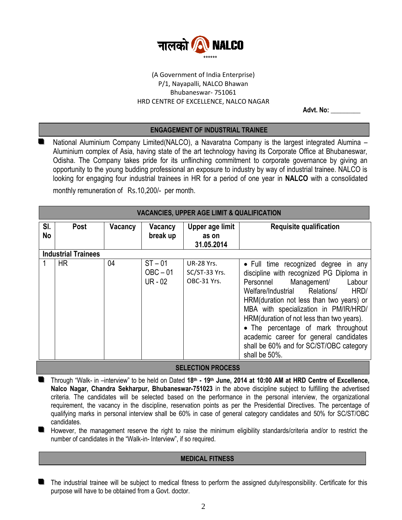

# (A Government of India Enterprise) P/1, Nayapalli, NALCO Bhawan Bhubaneswar- 751061 HRD CENTRE OF EXCELLENCE, NALCO NAGAR

 **Advt. No: \_\_\_\_\_\_\_\_\_**

## **ENGAGEMENT OF INDUSTRIAL TRAINEE**

■ National Aluminium Company Limited(NALCO), a Navaratna Company is the largest integrated Alumina – Aluminium complex of Asia, having state of the art technology having its Corporate Office at Bhubaneswar, Odisha. The Company takes pride for its unflinching commitment to corporate governance by giving an opportunity to the young budding professional an exposure to industry by way of industrial trainee. NALCO is looking for engaging four industrial trainees in HR for a period of one year in **NALCO** with a consolidated monthly remuneration of Rs.10,200/- per month.

| <b>VACANCIES, UPPER AGE LIMIT &amp; QUALIFICATION</b> |      |         |                                      |                                                   |                                                                                                                                                                                                                                                                                                                                                                                                                                                 |  |  |
|-------------------------------------------------------|------|---------|--------------------------------------|---------------------------------------------------|-------------------------------------------------------------------------------------------------------------------------------------------------------------------------------------------------------------------------------------------------------------------------------------------------------------------------------------------------------------------------------------------------------------------------------------------------|--|--|
| SI.<br>No                                             | Post | Vacancy | Vacancy<br>break up                  | Upper age limit<br>as on<br>31.05.2014            | <b>Requisite qualification</b>                                                                                                                                                                                                                                                                                                                                                                                                                  |  |  |
| <b>Industrial Trainees</b>                            |      |         |                                      |                                                   |                                                                                                                                                                                                                                                                                                                                                                                                                                                 |  |  |
|                                                       | HR.  | 04      | $ST - 01$<br>$OBC - 01$<br>$UR - 02$ | <b>UR-28 Yrs.</b><br>SC/ST-33 Yrs.<br>OBC-31 Yrs. | • Full time recognized degree in any<br>discipline with recognized PG Diploma in<br>Labour<br>Management/<br>Personnel<br>Welfare/Industrial Relations/<br>HRD/<br>HRM(duration not less than two years) or<br>MBA with specialization in PM/IR/HRD/<br>HRM (duration of not less than two years).<br>• The percentage of mark throughout<br>academic career for general candidates<br>shall be 60% and for SC/ST/OBC category<br>shall be 50%. |  |  |

#### **SELECTION PROCESS**

- **fo** Through "Walk- in -interview" to be held on Dated 18<sup>th</sup> 19<sup>th</sup> June, 2014 at 10:00 AM at HRD Centre of Excellence, **Nalco Nagar, Chandra Sekharpur, Bhubaneswar-751023** in the above discipline subject to fulfilling the advertised criteria. The candidates will be selected based on the performance in the personal interview, the organizational requirement, the vacancy in the discipline, reservation points as per the Presidential Directives. The percentage of qualifying marks in personal interview shall be 60% in case of general category candidates and 50% for SC/ST/OBC candidates.
- However, the management reserve the right to raise the minimum eligibility standards/criteria and/or to restrict the number of candidates in the "Walk-in- Interview", if so required.

#### **MEDICAL FITNESS**

The industrial trainee will be subject to medical fitness to perform the assigned duty/responsibility. Certificate for this purpose will have to be obtained from a Govt. doctor.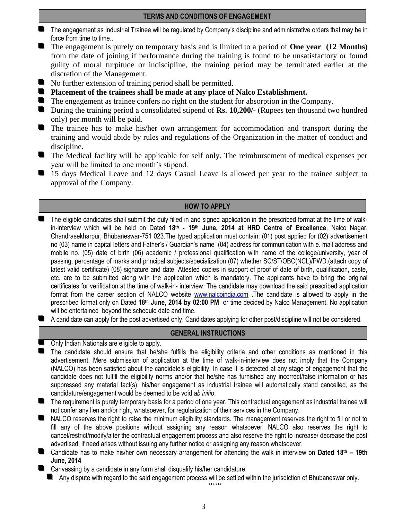#### **TERMS AND CONDITIONS OF ENGAGEMENT**

- **The engagement as Industrial Trainee will be regulated by Company's discipline and administrative orders that may be in** force from time to time..
- The engagement is purely on temporary basis and is limited to a period of **One year** (12 Months) from the date of joining if performance during the training is found to be unsatisfactory or found guilty of moral turpitude or indiscipline, the training period may be terminated earlier at the discretion of the Management.
- No further extension of training period shall be permitted.
- **Placement of the trainees shall be made at any place of Nalco Establishment.**
- The engagement as trainee confers no right on the student for absorption in the Company.
- During the training period a consolidated stipend of **Rs. 10,200/-** (Rupees ten thousand two hundred only) per month will be paid.
- **The trainee has to make his/her own arrangement for accommodation and transport during the** training and would abide by rules and regulations of the Organization in the matter of conduct and discipline.
- The Medical facility will be applicable for self only. The reimbursement of medical expenses per year will be limited to one month's stipend.
- 15 days Medical Leave and 12 days Casual Leave is allowed per year to the trainee subject to approval of the Company.

# **HOW TO APPLY**

- The eligible candidates shall submit the duly filled in and signed application in the prescribed format at the time of walkin-interview which will be held on Dated 18<sup>th</sup> **- 19<sup>th</sup> June, 2014 at HRD Centre of Excellence**, Nalco Nagar, Chandrasekharpur, Bhubaneswar-751 023.The typed application must contain: (01) post applied for (02) advertisement no (03) name in capital letters and Father's / Guardian's name (04) address for communication with e. mail address and mobile no. (05) date of birth (06) academic / professional qualification with name of the college/university, year of passing, percentage of marks and principal subjects/specialization (07) whether SC/ST/OBC(NCL)/PWD.(attach copy of latest valid certificate) (08) signature and date. Attested copies in support of proof of date of birth, qualification, caste, etc. are to be submitted along with the application which is mandatory. The applicants have to bring the original certificates for verification at the time of walk-in- interview. The candidate may download the said prescribed application format from the career section of NALCO website [www.nalcoindia.com](http://www.nalcoindia.com/) .The candidate is allowed to apply in the prescribed format only on Dated 18<sup>th</sup> June, 2014 by 02:00 PM or time decided by Nalco Management. No application will be entertained beyond the schedule date and time.
- A candidate can apply for the post advertised only. Candidates applying for other post/discipline will not be considered.

## **GENERAL INSTRUCTIONS**

- **Delach Indian Nationals are eligible to apply.**
- The candidate should ensure that he/she fulfills the eligibility criteria and other conditions as mentioned in this advertisement. Mere submission of application at the time of walk-in-interview does not imply that the Company (NALCO) has been satisfied about the candidate's eligibility. In case it is detected at any stage of engagement that the candidate does not fulfill the eligibility norms and/or that he/she has furnished any incorrect/false information or has suppressed any material fact(s), his/her engagement as industrial trainee will automatically stand cancelled, as the candidature/engagement would be deemed to be void *ab initio*.
- The requirement is purely temporary basis for a period of one year. This contractual engagement as industrial trainee will not confer any lien and/or right, whatsoever, for regularization of their services in the Company.
- NALCO reserves the right to raise the minimum eligibility standards. The management reserves the right to fill or not to fill any of the above positions without assigning any reason whatsoever. NALCO also reserves the right to cancel/restrict/modify/alter the contractual engagement process and also reserve the right to increase/ decrease the post advertised, if need arises without issuing any further notice or assigning any reason whatsoever.
- Candidate has to make his/her own necessary arrangement for attending the walk in interview on **Dated 18th – 19th June, 2014**

**E** Canvassing by a candidate in any form shall disqualify his/her candidature.

Any dispute with regard to the said engagement process will be settled within the jurisdiction of Bhubaneswar only.

\*\*\*\*\*\*